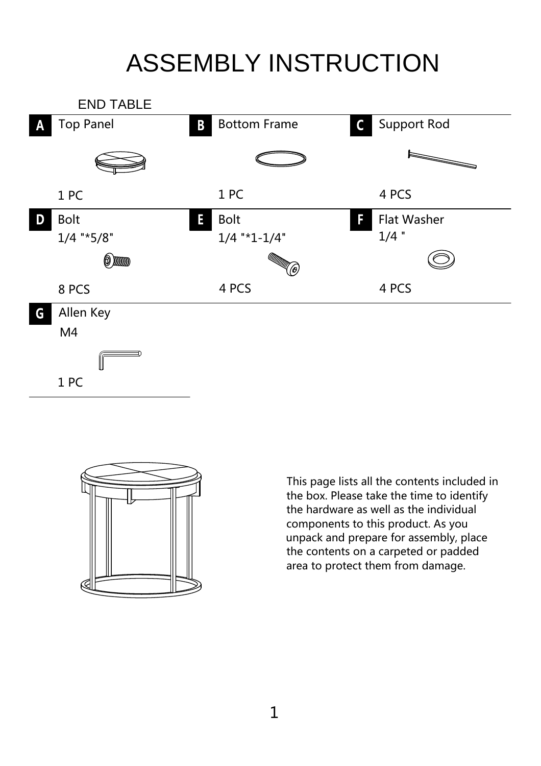## ASSEMBLY INSTRUCTION





This page lists all the contents included in the box. Please take the time to identify the hardware as well as the individual components to this product. As you unpack and prepare for assembly, place the contents on a carpeted or padded area to protect them from damage.